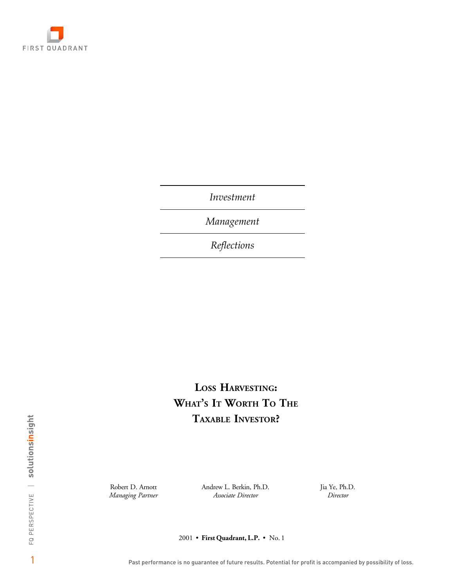

*Investment*

*Management*

*Reflections*

# **LOSS HARVESTING: WHAT'S IT WORTH TO THE TAXABLE INVESTOR?**

Robert D. Arnott Andrew L. Berkin, Ph.D. *Managing Partner Associate Director Director*

Ph.D. Jia Ye, Ph.D.

2001 • First Quadrant, L.P. • No. 1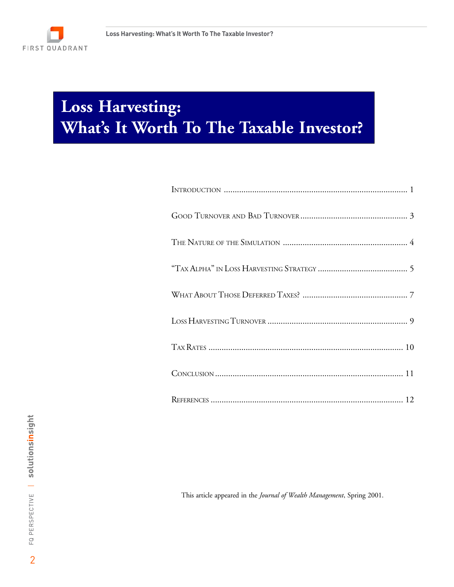

# **Loss Harvesting: What's It Worth To The Taxable Investor?**

This article appeared in the *Journal of Wealth Management*, Spring 2001.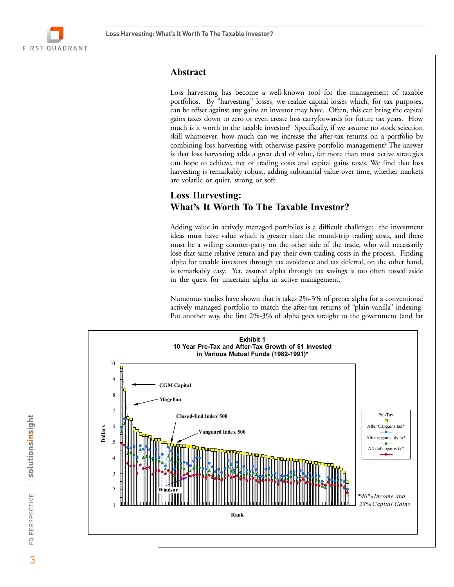

# **Abstract**

Loss harvesting has become a well-known tool for the management of taxable portfolios. By "harvesting" losses, we realize capital losses which, for tax purposes, can be offset against any gains an investor may have. Often, this can bring the capital gains taxes down to zero or even create loss carryforwards for future tax years. How much is it worth to the taxable investor? Specifically, if we assume no stock selection skill whatsoever, how much can we increase the after-tax returns on a portfolio by combining loss harvesting with otherwise passive portfolio management? The answer is that loss harvesting adds a great deal of value, far more than most active strategies can hope to achieve, net of trading costs and capital gains taxes. We find that loss harvesting is remarkably robust, adding substantial value over time, whether markets are volatile or quiet, strong or soft.

# **Loss Harvesting: What's It Worth To The Taxable Investor?**

Adding value in actively managed portfolios is a difficult challenge: the investment ideas must have value which is greater than the round-trip trading costs, and there must be a willing counter-party on the other side of the trade, who will necessarily lose that same relative return and pay their own trading costs in the process. Finding alpha for taxable investors through tax avoidance and tax deferral, on the other hand, is remarkably easy. Yet, assured alpha through tax savings is too often tossed aside in the quest for uncertain alpha in active management.

Numerous studies have shown that is takes 2%-3% of pretax alpha for a conventional actively managed portfolio to match the after-tax returns of "plain-vanilla" indexing. Put another way, the first 2%-3% of alpha goes straight to the government (and far

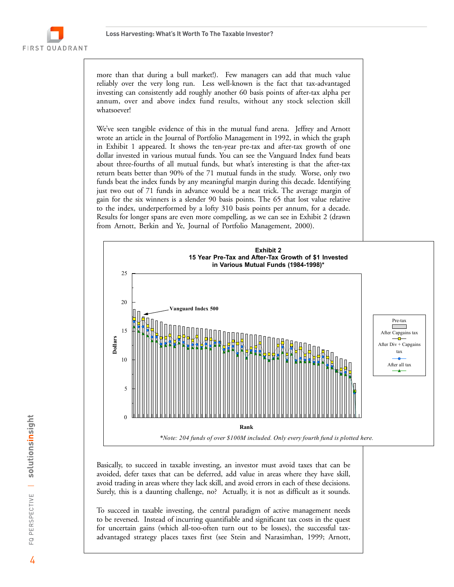*g f*

more than that during a bull market!). Few managers can add that much value reliably over the very long run. Less well-known is the fact that tax-advantaged investing can consistently add roughly another 60 basis points of after-tax alpha per annum, over and above index fund results, without any stock selection skill whatsoever!

We've seen tangible evidence of this in the mutual fund arena. Jeffrey and Arnott wrote an article in the Journal of Portfolio Management in 1992, in which the graph in Exhibit 1 appeared. It shows the ten-year pre-tax and after-tax growth of one dollar invested in various mutual funds. You can see the Vanguard Index fund beats about three-fourths of all mutual funds, but what's interesting is that the after-tax return beats better than 90% of the 71 mutual funds in the study. Worse, only two funds beat the index funds by any meaningful margin during this decade. Identifying just two out of 71 funds in advance would be a neat trick. The average margin of gain for the six winners is a slender 90 basis points. The 65 that lost value relative to the index, underperformed by a lofty 310 basis points per annum, for a decade. Results for longer spans are even more compelling, as we can see in Exhibit 2 (drawn from Arnott, Berkin and Ye, Journal of Portfolio Management, 2000).



Basically, to succeed in taxable investing, an investor must avoid taxes that can be avoided, defer taxes that can be deferred, add value in areas where they have skill, avoid trading in areas where they lack skill, and avoid errors in each of these decisions. Surely, this is a daunting challenge, no? Actually, it is not as difficult as it sounds.

To succeed in taxable investing, the central paradigm of active management needs to be reversed. Instead of incurring quantifiable and significant tax costs in the quest for uncertain gains (which all-too-often turn out to be losses), the successful taxadvantaged strategy places taxes first (see Stein and Narasimhan, 1999; Arnott,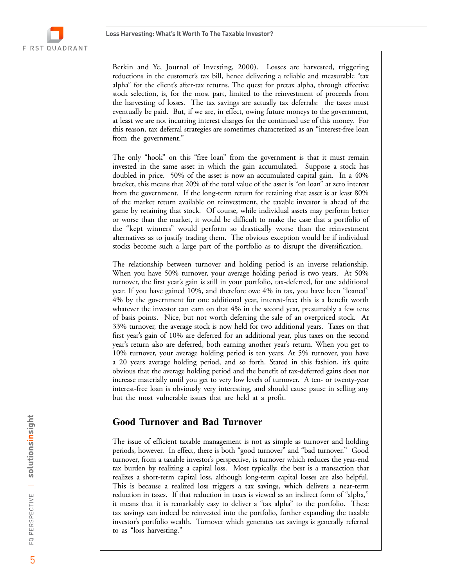

Berkin and Ye, Journal of Investing, 2000). Losses are harvested, triggering reductions in the customer's tax bill, hence delivering a reliable and measurable "tax alpha" for the client's after-tax returns. The quest for pretax alpha, through effective stock selection, is, for the most part, limited to the reinvestment of proceeds from the harvesting of losses. The tax savings are actually tax deferrals: the taxes must eventually be paid. But, if we are, in effect, owing future moneys to the government, at least we are not incurring interest charges for the continued use of this money. For this reason, tax deferral strategies are sometimes characterized as an "interest-free loan from the government."

The only "hook" on this "free loan" from the government is that it must remain invested in the same asset in which the gain accumulated. Suppose a stock has doubled in price. 50% of the asset is now an accumulated capital gain. In a 40% bracket, this means that 20% of the total value of the asset is "on loan" at zero interest from the government. If the long-term return for retaining that asset is at least 80% of the market return available on reinvestment, the taxable investor is ahead of the game by retaining that stock. Of course, while individual assets may perform better or worse than the market, it would be difficult to make the case that a portfolio of the "kept winners" would perform so drastically worse than the reinvestment alternatives as to justify trading them. The obvious exception would be if individual stocks become such a large part of the portfolio as to disrupt the diversification.

The relationship between turnover and holding period is an inverse relationship. When you have 50% turnover, your average holding period is two years. At 50% turnover, the first year's gain is still in your portfolio, tax-deferred, for one additional year. If you have gained 10%, and therefore owe 4% in tax, you have been "loaned" 4% by the government for one additional year, interest-free; this is a benefit worth whatever the investor can earn on that 4% in the second year, presumably a few tens of basis points. Nice, but not worth deferring the sale of an overpriced stock. At 33% turnover, the average stock is now held for two additional years. Taxes on that first year's gain of 10% are deferred for an additional year, plus taxes on the second year's return also are deferred, both earning another year's return. When you get to 10% turnover, your average holding period is ten years. At 5% turnover, you have a 20 years average holding period, and so forth. Stated in this fashion, it's quite obvious that the average holding period and the benefit of tax-deferred gains does not increase materially until you get to very low levels of turnover. A ten- or twenty-year interest-free loan is obviously very interesting, and should cause pause in selling any but the most vulnerable issues that are held at a profit.

#### **Good Turnover and Bad Turnover**

The issue of efficient taxable management is not as simple as turnover and holding periods, however. In effect, there is both "good turnover" and "bad turnover." Good turnover, from a taxable investor's perspective, is turnover which reduces the year-end tax burden by realizing a capital loss. Most typically, the best is a transaction that realizes a short-term capital loss, although long-term capital losses are also helpful. This is because a realized loss triggers a tax savings, which delivers a near-term reduction in taxes. If that reduction in taxes is viewed as an indirect form of "alpha," it means that it is remarkably easy to deliver a "tax alpha" to the portfolio. These tax savings can indeed be reinvested into the portfolio, further expanding the taxable investor's portfolio wealth. Turnover which generates tax savings is generally referred to as "loss harvesting."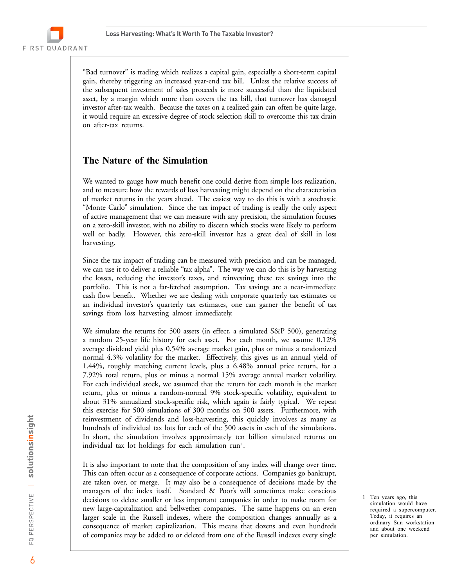"Bad turnover" is trading which realizes a capital gain, especially a short-term capital gain, thereby triggering an increased year-end tax bill. Unless the relative success of the subsequent investment of sales proceeds is more successful than the liquidated asset, by a margin which more than covers the tax bill, that turnover has damaged investor after-tax wealth. Because the taxes on a realized gain can often be quite large, it would require an excessive degree of stock selection skill to overcome this tax drain on after-tax returns.

# **The Nature of the Simulation**

We wanted to gauge how much benefit one could derive from simple loss realization, and to measure how the rewards of loss harvesting might depend on the characteristics of market returns in the years ahead. The easiest way to do this is with a stochastic "Monte Carlo" simulation. Since the tax impact of trading is really the only aspect of active management that we can measure with any precision, the simulation focuses on a zero-skill investor, with no ability to discern which stocks were likely to perform well or badly. However, this zero-skill investor has a great deal of skill in loss harvesting.

Since the tax impact of trading can be measured with precision and can be managed, we can use it to deliver a reliable "tax alpha". The way we can do this is by harvesting the losses, reducing the investor's taxes, and reinvesting these tax savings into the portfolio. This is not a far-fetched assumption. Tax savings are a near-immediate cash flow benefit. Whether we are dealing with corporate quarterly tax estimates or an individual investor's quarterly tax estimates, one can garner the benefit of tax savings from loss harvesting almost immediately.

We simulate the returns for 500 assets (in effect, a simulated S&P 500), generating a random 25-year life history for each asset. For each month, we assume 0.12% average dividend yield plus 0.54% average market gain, plus or minus a randomized normal 4.3% volatility for the market. Effectively, this gives us an annual yield of 1.44%, roughly matching current levels, plus a 6.48% annual price return, for a 7.92% total return, plus or minus a normal 15% average annual market volatility. For each individual stock, we assumed that the return for each month is the market return, plus or minus a random-normal 9% stock-specific volatility, equivalent to about 31% annualized stock-specific risk, which again is fairly typical. We repeat this exercise for 500 simulations of 300 months on 500 assets. Furthermore, with reinvestment of dividends and loss-harvesting, this quickly involves as many as hundreds of individual tax lots for each of the 500 assets in each of the simulations. In short, the simulation involves approximately ten billion simulated returns on individual tax lot holdings for each simulation  $run<sup>1</sup>$ .

It is also important to note that the composition of any index will change over time. This can often occur as a consequence of corporate actions. Companies go bankrupt, are taken over, or merge. It may also be a consequence of decisions made by the managers of the index itself. Standard & Poor's will sometimes make conscious decisions to delete smaller or less important companies in order to make room for new large-capitalization and bellwether companies. The same happens on an even larger scale in the Russell indexes, where the composition changes annually as a consequence of market capitalization. This means that dozens and even hundreds of companies may be added to or deleted from one of the Russell indexes every single

1 Ten years ago, this simulation would have required a supercomputer. Today, it requires an ordinary Sun workstation and about one weekend per simulation.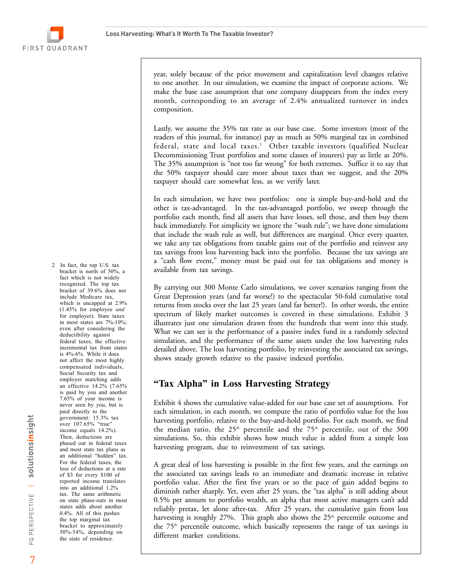*Q*



year, solely because of the price movement and capitalization level changes relative to one another. In our simulation, we examine the impact of corporate actions. We make the base case assumption that one company disappears from the index every month, corresponding to an average of 2.4% annualized turnover in index composition.

Lastly, we assume the 35% tax rate as our base case. Some investors (most of the readers of this journal, for instance) pay as much as 50% marginal tax in combined federal, state and local taxes.<sup>2</sup> Other taxable investors (qualified Nuclear Decommissioning Trust portfolios and some classes of insurers) pay as little as 20%. The 35% assumption is "not too far wrong" for both extremes. Suffice it to say that the 50% taxpayer should care more about taxes than we suggest, and the 20% taxpayer should care somewhat less, as we verify later.

In each simulation, we have two portfolios: one is simple buy-and-hold and the other is tax-advantaged. In the tax-advantaged portfolio, we sweep through the portfolio each month, find all assets that have losses, sell those, and then buy them back immediately. For simplicity we ignore the "wash rule"; we have done simulations that include the wash rule as well, but differences are marginal. Once every quarter, we take any tax obligations from taxable gains out of the portfolio and reinvest any tax savings from loss harvesting back into the portfolio. Because the tax savings are a "cash flow event," money must be paid out for tax obligations and money is available from tax savings.

By carrying out 300 Monte Carlo simulations, we cover scenarios ranging from the Great Depression years (and far worse!) to the spectacular 50-fold cumulative total returns from stocks over the last 25 years (and far better!). In other words, the entire spectrum of likely market outcomes is covered in these simulations. Exhibit 3 illustrates just one simulation drawn from the hundreds that went into this study. What we can see is the performance of a passive index fund in a randomly selected simulation, and the performance of the same assets under the loss harvesting rules detailed above. The loss harvesting portfolio, by reinvesting the associated tax savings, shows steady growth relative to the passive indexed portfolio.

# **"Tax Alpha" in Loss Harvesting Strategy**

Exhibit 4 shows the cumulative value-added for our base case set of assumptions. For each simulation, in each month, we compute the ratio of portfolio value for the loss harvesting portfolio, relative to the buy-and-hold portfolio. For each month, we find the median ratio, the  $25<sup>th</sup>$  percentile and the  $75<sup>th</sup>$  percentile, out of the  $300$ simulations. So, this exhibit shows how much value is added from a simple loss harvesting program, due to reinvestment of tax savings.

A great deal of loss harvesting is possible in the first few years, and the earnings on the associated tax savings leads to an immediate and dramatic increase in relative portfolio value. After the first five years or so the pace of gain added begins to diminish rather sharply. Yet, even after 25 years, the "tax alpha" is still adding about 0.5% per annum to portfolio wealth, an alpha that most active managers can't add reliably pretax, let alone after-tax. After 25 years, the cumulative gain from loss harvesting is roughly 27%. This graph also shows the  $25<sup>th</sup>$  percentile outcome and the  $75<sup>th</sup>$  percentile outcome, which basically represents the range of tax savings in different market conditions.

include Medicare tax, which is uncapped at 2.9% (1.45% for employee *and* for employer). State taxes in most states are 7%-10%; even after considering the deductibility against federal taxes, the effective incremental tax from states is 4%-6%. While it does not affect the most highly compensated individuals, Social Security tax and employer matching adds an effective 14.2% (7.65% is paid by you and another 7.65% of your income is never seen by you, but is paid directly to the government: 15.3% tax over 107.65% "true" income equals 14.2%). Then, deductions are phased out in federal taxes and most state tax plans as an additional "hidden" tax. For the federal taxes, the loss of deductions at a rate of \$3 for every \$100 of reported income translates into an additional 1.2% tax. The same arithmetic on state phase-outs in most states adds about another 0.4%. All of this pushes the top marginal tax bracket to approximately 50%-54%, depending on the state of residence.

2 In fact, the top U.S. tax bracket is north of 50%, a fact which is not widely recognized. The top tax bracket of 39.6% does not

 $\equiv$ 

PERSPECTIVE

 $\overline{E}$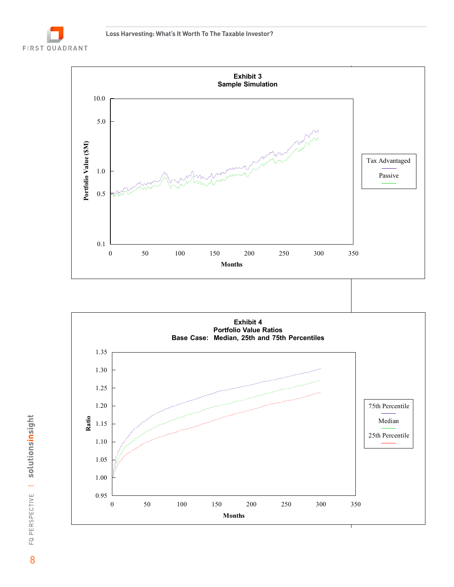





FQ PERSPECTIVE | solutionsinsight CO FQ PERSPECTIVE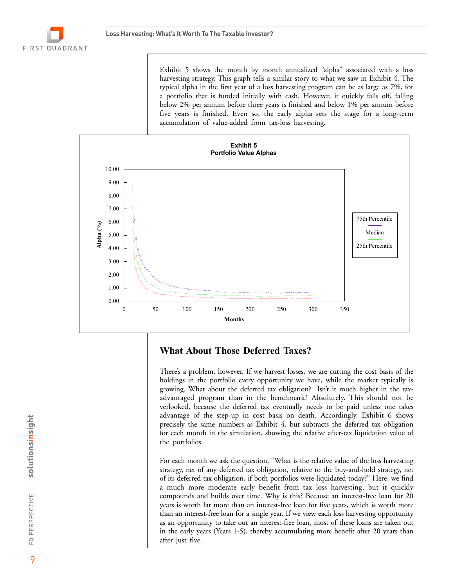Exhibit 5 shows the month by month annualized "alpha" associated with a loss harvesting strategy. This graph tells a similar story to what we saw in Exhibit 4. The typical alpha in the first year of a loss harvesting program can be as large as 7%, for a portfolio that is funded initially with cash. However, it quickly falls off, falling below 2% per annum before three years is finished and below 1% per annum before five years is finished. Even so, the early alpha sets the stage for a long-term accumulation of value-added from tax-loss harvesting.



#### **What About Those Deferred Taxes?**

There's a problem, however. If we harvest losses, we are cutting the cost basis of the holdings in the portfolio every opportunity we have, while the market typically is growing. What about the deferred tax obligation? Isn't it much higher in the taxadvantaged program than in the benchmark? Absolutely. This should not be verlooked, because the deferred tax eventually needs to be paid unless one takes advantage of the step-up in cost basis on death. Accordingly, Exhibit 6 shows precisely the same numbers as Exhibit 4, but subtracts the deferred tax obligation for each month in the simulation, showing the relative after-tax liquidation value of the portfolios.

For each month we ask the question, "What is the relative value of the loss harvesting strategy, net of any deferred tax obligation, relative to the buy-and-hold strategy, net of its deferred tax obligation, if both portfolios were liquidated today?" Here, we find a much more moderate early benefit from tax loss harvesting, but it quickly compounds and builds over time. Why is this? Because an interest-free loan for 20 years is worth far more than an interest-free loan for five years, which is worth more than an interest-free loan for a single year. If we view each loss harvesting opportunity as an opportunity to take out an interest-free loan, most of these loans are taken out in the early years (Years 1-5), thereby accumulating more benefit after 20 years than after just five.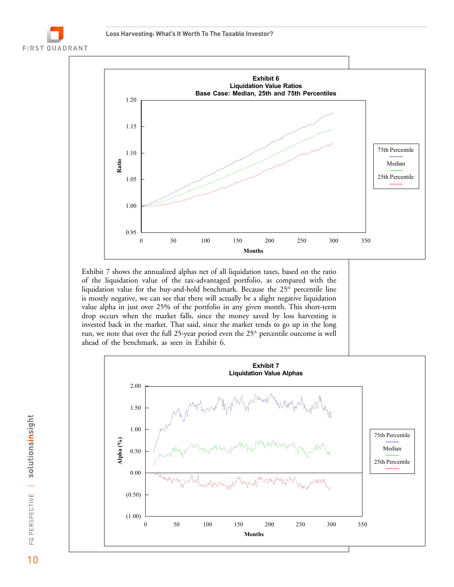



Exhibit 7 shows the annualized alphas net of all liquidation taxes, based on the ratio of the liquidation value of the tax-advantaged portfolio, as compared with the liquidation value for the buy-and-hold benchmark. Because the  $25<sup>th</sup>$  percentile line is mostly negative, we can see that there will actually be a slight negative liquidation value alpha in just over 25% of the portfolio in any given month. This short-term drop occurs when the market falls, since the money saved by loss harvesting is invested back in the market. That said, since the market tends to go up in the long run, we note that over the full 25-year period even the  $25<sup>th</sup>$  percentile outcome is well ahead of the benchmark, as seen in Exhibit 6.

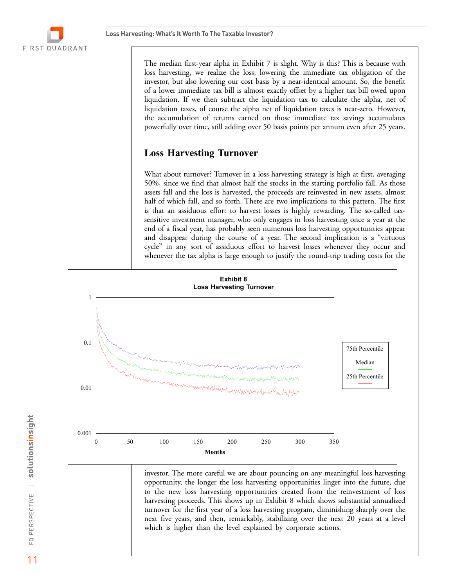The median first-year alpha in Exhibit 7 is slight. Why is this? This is because with loss harvesting, we realize the loss; lowering the immediate tax obligation of the investor, but also lowering our cost basis by a near-identical amount. So, the benefit of a lower immediate tax bill is almost exactly offset by a higher tax bill owed upon liquidation. If we then subtract the liquidation tax to calculate the alpha, net of liquidation taxes, of course the alpha net of liquidation taxes is near-zero. However, the accumulation of returns earned on those immediate tax savings accumulates powerfully over time, still adding over 50 basis points per annum even after 25 years.

# **Loss Harvesting Turnover**

What about turnover? Turnover in a loss harvesting strategy is high at first, averaging 50%, since we find that almost half the stocks in the starting portfolio fall. As those assets fall and the loss is harvested, the proceeds are reinvested in new assets, almost half of which fall, and so forth. There are two implications to this pattern. The first is that an assiduous effort to harvest losses is highly rewarding. The so-called taxsensitive investment manager, who only engages in loss harvesting once a year at the end of a fiscal year, has probably seen numerous loss harvesting opportunities appear and disappear during the course of a year. The second implication is a "virtuous cycle" in any sort of assiduous effort to harvest losses whenever they occur and whenever the tax alpha is large enough to justify the round-trip trading costs for the



investor. The more careful we are about pouncing on any meaningful loss harvesting opportunity, the longer the loss harvesting opportunities linger into the future, due to the new loss harvesting opportunities created from the reinvestment of loss harvesting proceeds. This shows up in Exhibit 8 which shows substantial annualized turnover for the first year of a loss harvesting program, diminishing sharply over the next five years, and then, remarkably, stabilizing over the next 20 years at a level which is higher than the level explained by corporate actions.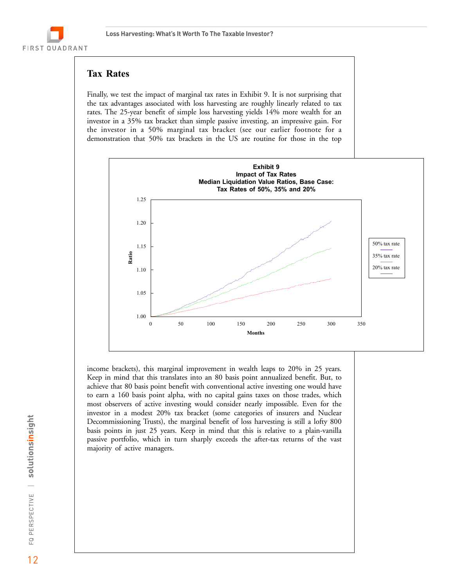# **Tax Rates**

FIRST QUADRANT

Finally, we test the impact of marginal tax rates in Exhibit 9. It is not surprising that the tax advantages associated with loss harvesting are roughly linearly related to tax rates. The 25-year benefit of simple loss harvesting yields 14% more wealth for an investor in a 35% tax bracket than simple passive investing, an impressive gain. For the investor in a 50% marginal tax bracket (see our earlier footnote for a demonstration that 50% tax brackets in the US are routine for those in the top



income brackets), this marginal improvement in wealth leaps to 20% in 25 years. Keep in mind that this translates into an 80 basis point annualized benefit. But, to achieve that 80 basis point benefit with conventional active investing one would have to earn a 160 basis point alpha, with no capital gains taxes on those trades, which most observers of active investing would consider nearly impossible. Even for the investor in a modest 20% tax bracket (some categories of insurers and Nuclear Decommissioning Trusts), the marginal benefit of loss harvesting is still a lofty 800 basis points in just 25 years. Keep in mind that this is relative to a plain-vanilla passive portfolio, which in turn sharply exceeds the after-tax returns of the vast majority of active managers.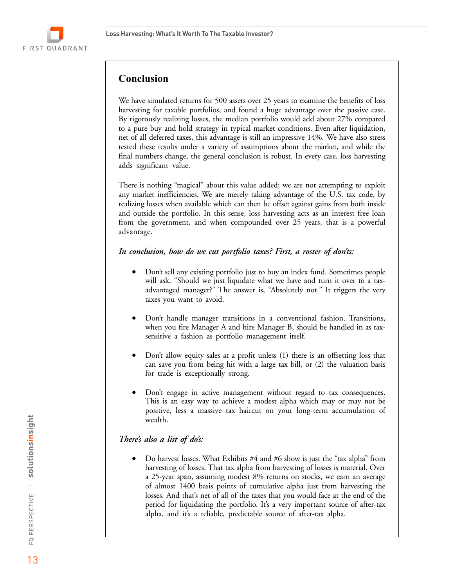

# **Conclusion**

We have simulated returns for 500 assets over 25 years to examine the benefits of loss harvesting for taxable portfolios, and found a huge advantage over the passive case. By rigorously realizing losses, the median portfolio would add about 27% compared to a pure buy and hold strategy in typical market conditions. Even after liquidation, net of all deferred taxes, this advantage is still an impressive 14%. We have also stress tested these results under a variety of assumptions about the market, and while the final numbers change, the general conclusion is robust. In every case, loss harvesting adds significant value.

There is nothing "magical" about this value added; we are not attempting to exploit any market inefficiencies. We are merely taking advantage of the U.S. tax code, by realizing losses when available which can then be offset against gains from both inside and outside the portfolio. In this sense, loss harvesting acts as an interest free loan from the government, and when compounded over 25 years, that is a powerful advantage.

#### *In conclusion, how do we cut portfolio taxes? First, a roster of don'ts:*

- $\bullet$  Don't sell any existing portfolio just to buy an index fund. Sometimes people will ask, "Should we just liquidate what we have and turn it over to a taxadvantaged manager?" The answer is, "Absolutely not." It triggers the very taxes you want to avoid.
- $\bullet$  Don't handle manager transitions in a conventional fashion. Transitions, when you fire Manager A and hire Manager B, should be handled in as taxsensitive a fashion as portfolio management itself.
- $\bullet$  Don't allow equity sales at a profit unless (1) there is an offsetting loss that can save you from being hit with a large tax bill, or (2) the valuation basis for trade is exceptionally strong.
- $\bullet$  Don't engage in active management without regard to tax consequences. This is an easy way to achieve a modest alpha which may or may not be positive, less a massive tax haircut on your long-term accumulation of wealth.

#### *There's also a list of do's:*

 $\bullet$  Do harvest losses. What Exhibits #4 and #6 show is just the "tax alpha" from harvesting of losses. That tax alpha from harvesting of losses is material. Over a 25-year span, assuming modest 8% returns on stocks, we earn an average of almost 1400 basis points of cumulative alpha just from harvesting the losses. And that's net of all of the taxes that you would face at the end of the period for liquidating the portfolio. It's a very important source of after-tax alpha, and it's a reliable, predictable source of after-tax alpha.